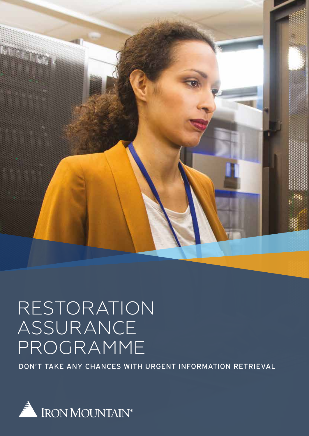

# RESTORATION ASSURANCE PROGRAMME

DON'T TAKE ANY CHANCES WITH URGENT INFORMATION RETRIEVAL

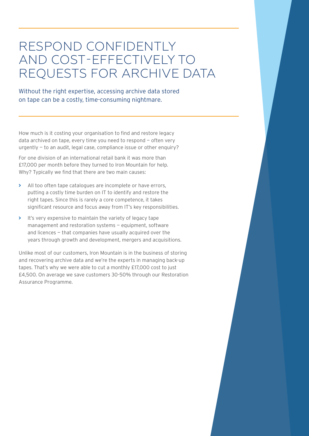## RESPOND CONFIDENTLY AND COST-EFFECTIVELY TO REQUESTS FOR ARCHIVE DATA

## Without the right expertise, accessing archive data stored on tape can be a costly, time-consuming nightmare.

How much is it costing your organisation to find and restore legacy data archived on tape, every time you need to respond — often very urgently — to an audit, legal case, compliance issue or other enquiry?

For one division of an international retail bank it was more than £17,000 per month before they turned to Iron Mountain for help. Why? Typically we find that there are two main causes:

- **>** All too often tape catalogues are incomplete or have errors, putting a costly time burden on IT to identify and restore the right tapes. Since this is rarely a core competence, it takes significant resource and focus away from IT's key responsibilities.
- **>** It's very expensive to maintain the variety of legacy tape management and restoration systems — equipment, software and licences — that companies have usually acquired over the years through growth and development, mergers and acquisitions.

Unlike most of our customers, Iron Mountain is in the business of storing and recovering archive data and we're the experts in managing back-up tapes. That's why we were able to cut a monthly £17,000 cost to just £4,500. On average we save customers 30-50% through our Restoration Assurance Programme.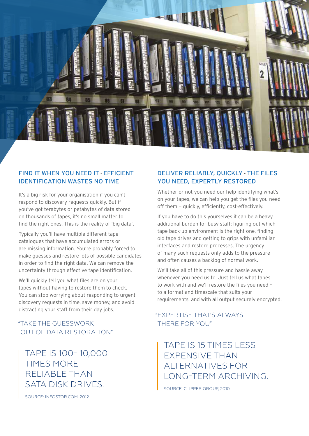

### FIND IT WHEN YOU NEED IT - EFFICIENT IDENTIFICATION WASTES NO TIME

It's a big risk for your organisation if you can't respond to discovery requests quickly. But if you've got terabytes or petabytes of data stored on thousands of tapes, it's no small matter to find the right ones. This is the reality of 'big data'.

Typically you'll have multiple different tape catalogues that have accumulated errors or are missing information. You're probably forced to make guesses and restore lots of possible candidates in order to find the right data. We can remove the uncertainty through effective tape identification.

We'll quickly tell you what files are on your tapes without having to restore them to check. You can stop worrying about responding to urgent discovery requests in time, save money, and avoid distracting your staff from their day jobs.

"TAKE THE GUESSWORK THERE FOR YOU" OUT OF DATA RESTORATION"

TAPE IS 100- 10,000 TIMES MORE RELIABLE THAN SATA DISK DRIVES.

SOURCE: INFOSTOR.COM, 2012

## DELIVER RELIABLY, QUICKLY - THE FILES YOU NEED, EXPERTLY RESTORED

Whether or not you need our help identifying what's on your tapes, we can help you get the files you need off them — quickly, efficiently, cost-effectively.

If you have to do this yourselves it can be a heavy additional burden for busy staff: figuring out which tape back-up environment is the right one, finding old tape drives and getting to grips with unfamiliar interfaces and restore processes. The urgency of many such requests only adds to the pressure and often causes a backlog of normal work.

We'll take all of this pressure and hassle away whenever you need us to. Just tell us what tapes to work with and we'll restore the files you need – to a format and timescale that suits your requirements, and with all output securely encrypted.

# "EXPERTISE THAT'S ALWAYS

## TAPE IS 15 TIMES LESS EXPENSIVE THAN ALTERNATIVES FOR LONG-TERM ARCHIVING.

SOURCE: CLIPPER GROUP, 2010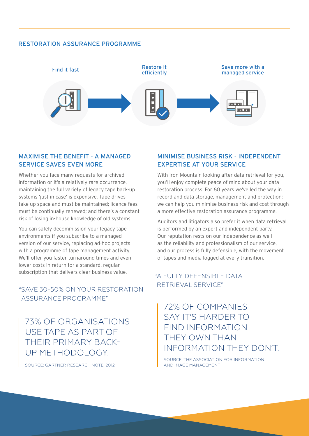#### RESTORATION ASSURANCE PROGRAMME



### MAXIMISE THE BENEFIT - A MANAGED SERVICE SAVES EVEN MORE

Whether you face many requests for archived information or it's a relatively rare occurrence, maintaining the full variety of legacy tape back-up systems 'just in case' is expensive. Tape drives take up space and must be maintained; licence fees must be continually renewed; and there's a constant risk of losing in-house knowledge of old systems.

You can safely decommission your legacy tape environments if you subscribe to a managed version of our service, replacing ad-hoc projects with a programme of tape management activity. We'll offer you faster turnaround times and even lower costs in return for a standard, regular subscription that delivers clear business value.

## RETRIEVAL SERVICE" "SAVE 30-50% ON YOUR RESTORATION ASSURANCE PROGRAMME"

73% OF ORGANISATIONS USE TAPE AS PART OF THEIR PRIMARY BACK-UP METHODOLOGY.

SOURCE: GARTNER RESEARCH NOTE, 2012

### MINIMISE BUSINESS RISK - INDEPENDENT EXPERTISE AT YOUR SERVICE

With Iron Mountain looking after data retrieval for you, you'll enjoy complete peace of mind about your data restoration process. For 60 years we've led the way in record and data storage, management and protection; we can help you minimise business risk and cost through a more effective restoration assurance programme.

Auditors and litigators also prefer it when data retrieval is performed by an expert and independent party. Our reputation rests on our independence as well as the reliability and professionalism of our service, and our process is fully defensible, with the movement of tapes and media logged at every transition.

## "A FULLY DEFENSIBLE DATA

## 72% OF COMPANIES SAY IT'S HARDER TO FIND INFORMATION THEY OWN THAN INFORMATION THEY DON'T.

SOURCE: THE ASSOCIATION FOR INFORMATION AND IMAGE MANAGEMENT